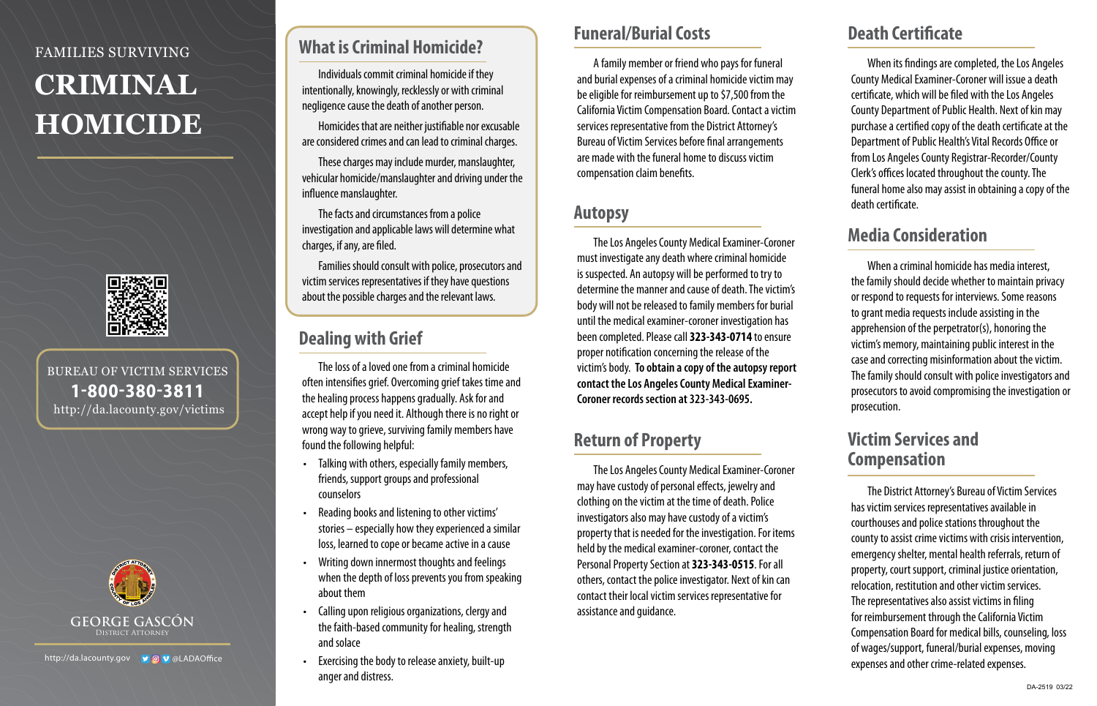# **CRIMINAL HOMICIDE** FAMILIES SURVIVING



BUREAU OF VICTIM SERVICES 1-800-380-3811 http://da.lacounty.gov/victims



# **What is Criminal Homicide?**

Individuals commit criminal homicide if they intentionally, knowingly, recklessly or with criminal negligence cause the death of another person.

Homicides that are neither justifiable nor excusable are considered crimes and can lead to criminal charges.

These charges may include murder, manslaughter, vehicular homicide/manslaughter and driving under the influence manslaughter.

The facts and circumstances from a police investigation and applicable laws will determine what charges, if any, are filed.

Families should consult with police, prosecutors and victim services representatives if they have questions about the possible charges and the relevant laws.

# **Dealing with Grief**

The loss of a loved one from a criminal homicide often intensifies grief. Overcoming grief takes time and the healing process happens gradually. Ask for and accept help if you need it. Although there is no right or wrong way to grieve, surviving family members have found the following helpful:

- Talking with others, especially family members, friends, support groups and professional counselors
- Reading books and listening to other victims' stories – especially how they experienced a similar loss, learned to cope or became active in a cause
- Writing down innermost thoughts and feelings when the depth of loss prevents you from speaking about them
- Calling upon religious organizations, clergy and the faith-based community for healing, strength and solace
- Exercising the body to release anxiety, built-up anger and distress.

### **Funeral/Burial Costs**

A family member or friend who pays for funeral and burial expenses of a criminal homicide victim may be eligible for reimbursement up to \$7,500 from the California Victim Compensation Board. Contact a victim services representative from the District Attorney's Bureau of Victim Services before final arrangements are made with the funeral home to discuss victim compensation claim benefits.

#### **Autopsy**

The Los Angeles County Medical Examiner-Coroner must investigate any death where criminal homicide is suspected. An autopsy will be performed to try to determine the manner and cause of death. The victim's body will not be released to family members for burial until the medical examiner-coroner investigation has been completed. Please call **323-343-0714** to ensure proper notification concerning the release of the victim's body. **To obtain a copy of the autopsy report contact the Los Angeles County Medical Examiner-Coroner records section at 323-343-0695.** 

The Los Angeles County Medical Examiner-Coroner may have custody of personal effects, jewelry and clothing on the victim at the time of death. Police investigators also may have custody of a victim's property that is needed for the investigation. For items held by the medical examiner-coroner, contact the Personal Property Section at **323-343-0515**. For all others, contact the police investigator. Next of kin can contact their local victim services representative for assistance and guidance.

# **Death Certificate**

When its findings are completed, the Los Angeles County Medical Examiner-Coroner will issue a death certificate, which will be filed with the Los Angeles County Department of Public Health. Next of kin may purchase a certified copy of the death certificate at the Department of Public Health's Vital Records Office or from Los Angeles County Registrar-Recorder/County Clerk's offices located throughout the county. The funeral home also may assist in obtaining a copy of the death certificate.

#### **Media Consideration**

When a criminal homicide has media interest, the family should decide whether to maintain privacy or respond to requests for interviews. Some reasons to grant media requests include assisting in the apprehension of the perpetrator(s), honoring the victim's memory, maintaining public interest in the case and correcting misinformation about the victim. The family should consult with police investigators and prosecutors to avoid compromising the investigation or prosecution.

#### **Return of Property Victim Services and Compensation**

The District Attorney's Bureau of Victim Services has victim services representatives available in courthouses and police stations throughout the county to assist crime victims with crisis intervention, emergency shelter, mental health referrals, return of property, court support, criminal justice orientation, relocation, restitution and other victim services. The representatives also assist victims in filing for reimbursement through the California Victim Compensation Board for medical bills, counseling, loss of wages/support, funeral/burial expenses, moving expenses and other crime-related expenses.